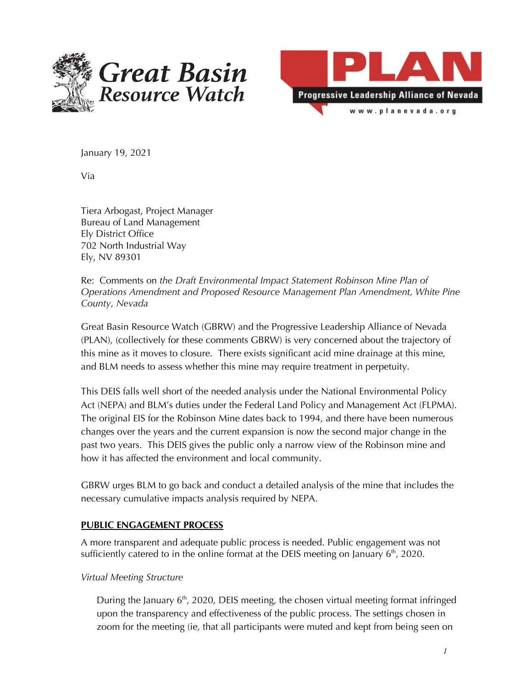



January 19, 2021

Via

Tiera Arbogast, Project Manager Bureau of Land Management Ely District Office 702 North Industrial Way Ely, NV 89301

Re: Comments on *the Draft Environmental Impact Statement Robinson Mine Plan of Operations Amendment and Proposed Resource Management Plan Amendment, White Pine County, Nevada*

Great Basin Resource Watch (GBRW) and the Progressive Leadership Alliance of Nevada (PLAN), (collectively for these comments GBRW) is very concerned about the trajectory of this mine as it moves to closure. There exists significant acid mine drainage at this mine, and BLM needs to assess whether this mine may require treatment in perpetuity.

This DEIS falls well short of the needed analysis under the National Environmental Policy Act (NEPA) and BLM's duties under the Federal Land Policy and Management Act (FLPMA). The original EIS for the Robinson Mine dates back to 1994, and there have been numerous changes over the years and the current expansion is now the second major change in the past two years. This DEIS gives the public only a narrow view of the Robinson mine and how it has affected the environment and local community.

GBRW urges BLM to go back and conduct a detailed analysis of the mine that includes the necessary cumulative impacts analysis required by NEPA.

#### **PUBLIC ENGAGEMENT PROCESS**

A more transparent and adequate public process is needed. Public engagement was not sufficiently catered to in the online format at the DEIS meeting on January  $6<sup>th</sup>$ , 2020.

#### *Virtual Meeting Structure*

During the January 6<sup>th</sup>, 2020, DEIS meeting, the chosen virtual meeting format infringed upon the transparency and effectiveness of the public process. The settings chosen in zoom for the meeting (ie, that all participants were muted and kept from being seen on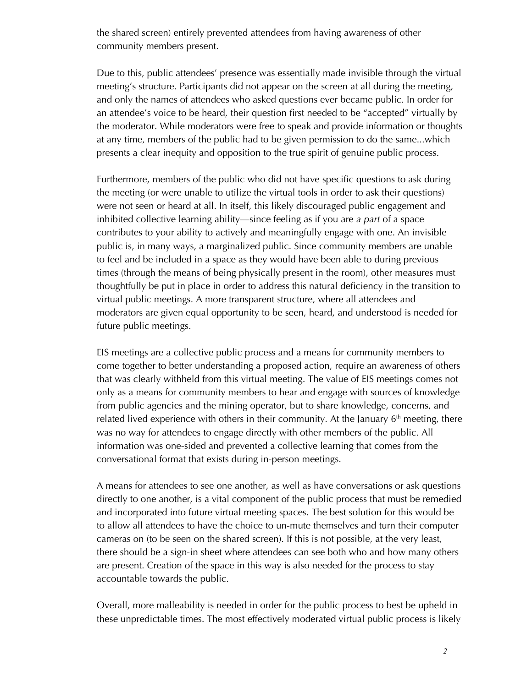the shared screen) entirely prevented attendees from having awareness of other community members present.

Due to this, public attendees' presence was essentially made invisible through the virtual meeting's structure. Participants did not appear on the screen at all during the meeting, and only the names of attendees who asked questions ever became public. In order for an attendee's voice to be heard, their question first needed to be "accepted" virtually by the moderator. While moderators were free to speak and provide information or thoughts at any time, members of the public had to be given permission to do the same...which presents a clear inequity and opposition to the true spirit of genuine public process.

Furthermore, members of the public who did not have specific questions to ask during the meeting (or were unable to utilize the virtual tools in order to ask their questions) were not seen or heard at all. In itself, this likely discouraged public engagement and inhibited collective learning ability—since feeling as if you are *a part* of a space contributes to your ability to actively and meaningfully engage with one. An invisible public is, in many ways, a marginalized public. Since community members are unable to feel and be included in a space as they would have been able to during previous times (through the means of being physically present in the room), other measures must thoughtfully be put in place in order to address this natural deficiency in the transition to virtual public meetings. A more transparent structure, where all attendees and moderators are given equal opportunity to be seen, heard, and understood is needed for future public meetings.

EIS meetings are a collective public process and a means for community members to come together to better understanding a proposed action, require an awareness of others that was clearly withheld from this virtual meeting. The value of EIS meetings comes not only as a means for community members to hear and engage with sources of knowledge from public agencies and the mining operator, but to share knowledge, concerns, and related lived experience with others in their community. At the January  $6<sup>th</sup>$  meeting, there was no way for attendees to engage directly with other members of the public. All information was one-sided and prevented a collective learning that comes from the conversational format that exists during in-person meetings.

A means for attendees to see one another, as well as have conversations or ask questions directly to one another, is a vital component of the public process that must be remedied and incorporated into future virtual meeting spaces. The best solution for this would be to allow all attendees to have the choice to un-mute themselves and turn their computer cameras on (to be seen on the shared screen). If this is not possible, at the very least, there should be a sign-in sheet where attendees can see both who and how many others are present. Creation of the space in this way is also needed for the process to stay accountable towards the public.

Overall, more malleability is needed in order for the public process to best be upheld in these unpredictable times. The most effectively moderated virtual public process is likely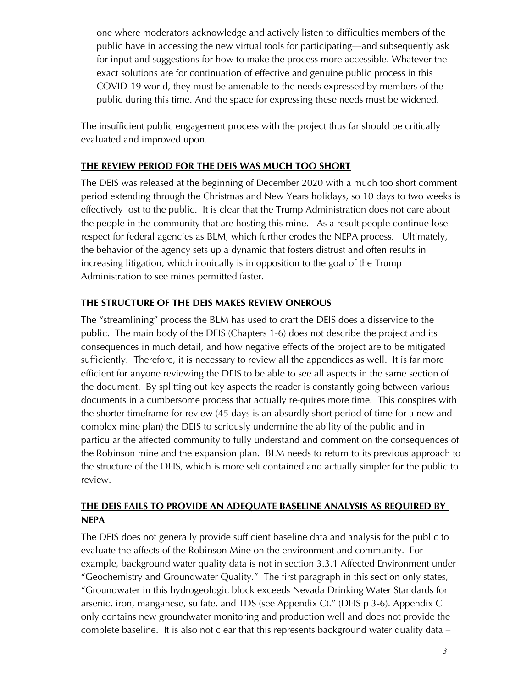one where moderators acknowledge and actively listen to difficulties members of the public have in accessing the new virtual tools for participating—and subsequently ask for input and suggestions for how to make the process more accessible. Whatever the exact solutions are for continuation of effective and genuine public process in this COVID-19 world, they must be amenable to the needs expressed by members of the public during this time. And the space for expressing these needs must be widened.

The insufficient public engagement process with the project thus far should be critically evaluated and improved upon.

### **THE REVIEW PERIOD FOR THE DEIS WAS MUCH TOO SHORT**

The DEIS was released at the beginning of December 2020 with a much too short comment period extending through the Christmas and New Years holidays, so 10 days to two weeks is effectively lost to the public. It is clear that the Trump Administration does not care about the people in the community that are hosting this mine. As a result people continue lose respect for federal agencies as BLM, which further erodes the NEPA process. Ultimately, the behavior of the agency sets up a dynamic that fosters distrust and often results in increasing litigation, which ironically is in opposition to the goal of the Trump Administration to see mines permitted faster.

# **THE STRUCTURE OF THE DEIS MAKES REVIEW ONEROUS**

The "streamlining" process the BLM has used to craft the DEIS does a disservice to the public. The main body of the DEIS (Chapters 1-6) does not describe the project and its consequences in much detail, and how negative effects of the project are to be mitigated sufficiently. Therefore, it is necessary to review all the appendices as well. It is far more efficient for anyone reviewing the DEIS to be able to see all aspects in the same section of the document. By splitting out key aspects the reader is constantly going between various documents in a cumbersome process that actually re-quires more time. This conspires with the shorter timeframe for review (45 days is an absurdly short period of time for a new and complex mine plan) the DEIS to seriously undermine the ability of the public and in particular the affected community to fully understand and comment on the consequences of the Robinson mine and the expansion plan. BLM needs to return to its previous approach to the structure of the DEIS, which is more self contained and actually simpler for the public to review.

# **THE DEIS FAILS TO PROVIDE AN ADEQUATE BASELINE ANALYSIS AS REQUIRED BY NEPA**

The DEIS does not generally provide sufficient baseline data and analysis for the public to evaluate the affects of the Robinson Mine on the environment and community. For example, background water quality data is not in section 3.3.1 Affected Environment under "Geochemistry and Groundwater Quality." The first paragraph in this section only states, "Groundwater in this hydrogeologic block exceeds Nevada Drinking Water Standards for arsenic, iron, manganese, sulfate, and TDS (see Appendix C)." (DEIS p 3-6). Appendix C only contains new groundwater monitoring and production well and does not provide the complete baseline. It is also not clear that this represents background water quality data –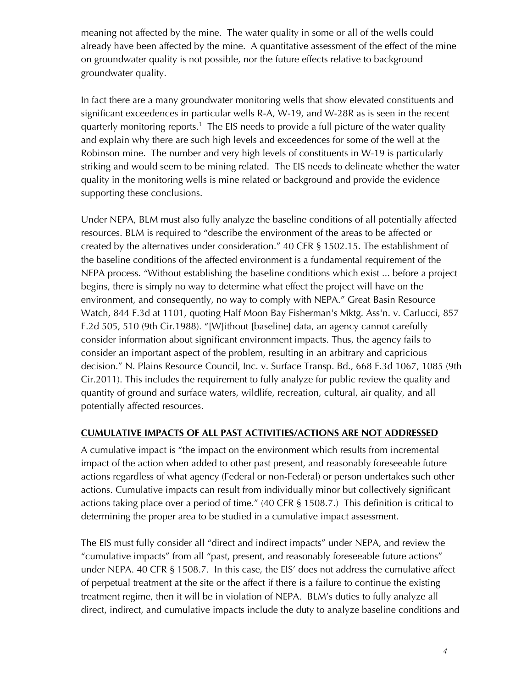meaning not affected by the mine. The water quality in some or all of the wells could already have been affected by the mine. A quantitative assessment of the effect of the mine on groundwater quality is not possible, nor the future effects relative to background groundwater quality.

In fact there are a many groundwater monitoring wells that show elevated constituents and significant exceedences in particular wells R-A, W-19, and W-28R as is seen in the recent quarterly monitoring reports.<sup>1</sup> The EIS needs to provide a full picture of the water quality and explain why there are such high levels and exceedences for some of the well at the Robinson mine. The number and very high levels of constituents in W-19 is particularly striking and would seem to be mining related. The EIS needs to delineate whether the water quality in the monitoring wells is mine related or background and provide the evidence supporting these conclusions.

Under NEPA, BLM must also fully analyze the baseline conditions of all potentially affected resources. BLM is required to "describe the environment of the areas to be affected or created by the alternatives under consideration." 40 CFR § 1502.15. The establishment of the baseline conditions of the affected environment is a fundamental requirement of the NEPA process. "Without establishing the baseline conditions which exist ... before a project begins, there is simply no way to determine what effect the project will have on the environment, and consequently, no way to comply with NEPA." Great Basin Resource Watch, 844 F.3d at 1101, quoting Half Moon Bay Fisherman's Mktg. Ass'n. v. Carlucci, 857 F.2d 505, 510 (9th Cir.1988). "[W]ithout [baseline] data, an agency cannot carefully consider information about significant environment impacts. Thus, the agency fails to consider an important aspect of the problem, resulting in an arbitrary and capricious decision." N. Plains Resource Council, Inc. v. Surface Transp. Bd., 668 F.3d 1067, 1085 (9th Cir.2011). This includes the requirement to fully analyze for public review the quality and quantity of ground and surface waters, wildlife, recreation, cultural, air quality, and all potentially affected resources.

#### **CUMULATIVE IMPACTS OF ALL PAST ACTIVITIES/ACTIONS ARE NOT ADDRESSED**

A cumulative impact is "the impact on the environment which results from incremental impact of the action when added to other past present, and reasonably foreseeable future actions regardless of what agency (Federal or non-Federal) or person undertakes such other actions. Cumulative impacts can result from individually minor but collectively significant actions taking place over a period of time." (40 CFR § 1508.7.) This definition is critical to determining the proper area to be studied in a cumulative impact assessment.

The EIS must fully consider all "direct and indirect impacts" under NEPA, and review the "cumulative impacts" from all "past, present, and reasonably foreseeable future actions" under NEPA. 40 CFR § 1508.7. In this case, the EIS' does not address the cumulative affect of perpetual treatment at the site or the affect if there is a failure to continue the existing treatment regime, then it will be in violation of NEPA. BLM's duties to fully analyze all direct, indirect, and cumulative impacts include the duty to analyze baseline conditions and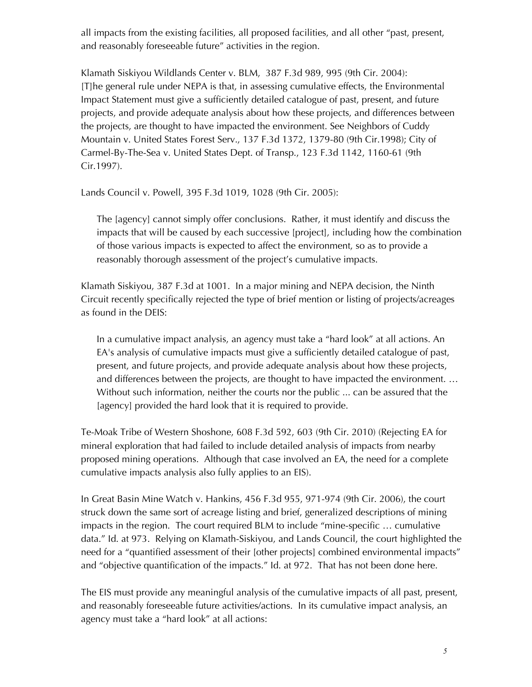all impacts from the existing facilities, all proposed facilities, and all other "past, present, and reasonably foreseeable future" activities in the region.

Klamath Siskiyou Wildlands Center v. BLM, 387 F.3d 989, 995 (9th Cir. 2004): [T]he general rule under NEPA is that, in assessing cumulative effects, the Environmental Impact Statement must give a sufficiently detailed catalogue of past, present, and future projects, and provide adequate analysis about how these projects, and differences between the projects, are thought to have impacted the environment. See Neighbors of Cuddy Mountain v. United States Forest Serv., 137 F.3d 1372, 1379-80 (9th Cir.1998); City of Carmel-By-The-Sea v. United States Dept. of Transp., 123 F.3d 1142, 1160-61 (9th Cir.1997).

Lands Council v. Powell, 395 F.3d 1019, 1028 (9th Cir. 2005):

The [agency] cannot simply offer conclusions. Rather, it must identify and discuss the impacts that will be caused by each successive [project], including how the combination of those various impacts is expected to affect the environment, so as to provide a reasonably thorough assessment of the project's cumulative impacts.

Klamath Siskiyou, 387 F.3d at 1001. In a major mining and NEPA decision, the Ninth Circuit recently specifically rejected the type of brief mention or listing of projects/acreages as found in the DEIS:

In a cumulative impact analysis, an agency must take a "hard look" at all actions. An EA's analysis of cumulative impacts must give a sufficiently detailed catalogue of past, present, and future projects, and provide adequate analysis about how these projects, and differences between the projects, are thought to have impacted the environment. … Without such information, neither the courts nor the public ... can be assured that the [agency] provided the hard look that it is required to provide.

Te-Moak Tribe of Western Shoshone, 608 F.3d 592, 603 (9th Cir. 2010) (Rejecting EA for mineral exploration that had failed to include detailed analysis of impacts from nearby proposed mining operations. Although that case involved an EA, the need for a complete cumulative impacts analysis also fully applies to an EIS).

In Great Basin Mine Watch v. Hankins, 456 F.3d 955, 971-974 (9th Cir. 2006), the court struck down the same sort of acreage listing and brief, generalized descriptions of mining impacts in the region. The court required BLM to include "mine-specific … cumulative data." Id. at 973. Relying on Klamath-Siskiyou, and Lands Council, the court highlighted the need for a "quantified assessment of their [other projects] combined environmental impacts" and "objective quantification of the impacts." Id. at 972. That has not been done here.

The EIS must provide any meaningful analysis of the cumulative impacts of all past, present, and reasonably foreseeable future activities/actions. In its cumulative impact analysis, an agency must take a "hard look" at all actions: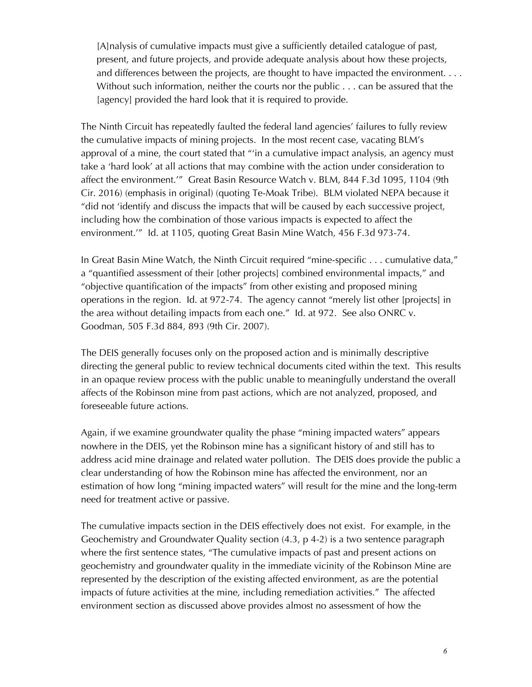[A]nalysis of cumulative impacts must give a sufficiently detailed catalogue of past, present, and future projects, and provide adequate analysis about how these projects, and differences between the projects, are thought to have impacted the environment. . . . Without such information, neither the courts nor the public . . . can be assured that the [agency] provided the hard look that it is required to provide.

The Ninth Circuit has repeatedly faulted the federal land agencies' failures to fully review the cumulative impacts of mining projects. In the most recent case, vacating BLM's approval of a mine, the court stated that "'in a cumulative impact analysis, an agency must take a 'hard look' at all actions that may combine with the action under consideration to affect the environment.'" Great Basin Resource Watch v. BLM, 844 F.3d 1095, 1104 (9th Cir. 2016) (emphasis in original) (quoting Te-Moak Tribe). BLM violated NEPA because it "did not 'identify and discuss the impacts that will be caused by each successive project, including how the combination of those various impacts is expected to affect the environment.'" Id. at 1105, quoting Great Basin Mine Watch, 456 F.3d 973-74.

In Great Basin Mine Watch, the Ninth Circuit required "mine-specific . . . cumulative data," a "quantified assessment of their [other projects] combined environmental impacts," and "objective quantification of the impacts" from other existing and proposed mining operations in the region. Id. at 972-74. The agency cannot "merely list other [projects] in the area without detailing impacts from each one." Id. at 972. See also ONRC v. Goodman, 505 F.3d 884, 893 (9th Cir. 2007).

The DEIS generally focuses only on the proposed action and is minimally descriptive directing the general public to review technical documents cited within the text. This results in an opaque review process with the public unable to meaningfully understand the overall affects of the Robinson mine from past actions, which are not analyzed, proposed, and foreseeable future actions.

Again, if we examine groundwater quality the phase "mining impacted waters" appears nowhere in the DEIS, yet the Robinson mine has a significant history of and still has to address acid mine drainage and related water pollution. The DEIS does provide the public a clear understanding of how the Robinson mine has affected the environment, nor an estimation of how long "mining impacted waters" will result for the mine and the long-term need for treatment active or passive.

The cumulative impacts section in the DEIS effectively does not exist. For example, in the Geochemistry and Groundwater Quality section (4.3, p 4-2) is a two sentence paragraph where the first sentence states, "The cumulative impacts of past and present actions on geochemistry and groundwater quality in the immediate vicinity of the Robinson Mine are represented by the description of the existing affected environment, as are the potential impacts of future activities at the mine, including remediation activities." The affected environment section as discussed above provides almost no assessment of how the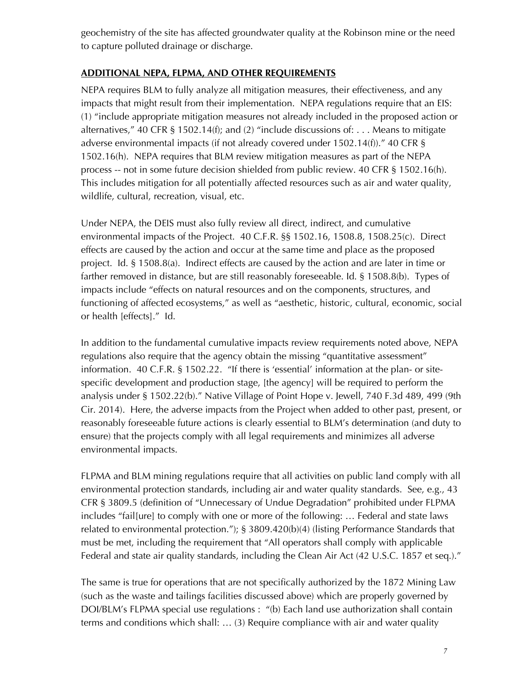geochemistry of the site has affected groundwater quality at the Robinson mine or the need to capture polluted drainage or discharge.

### **ADDITIONAL NEPA, FLPMA, AND OTHER REQUIREMENTS**

NEPA requires BLM to fully analyze all mitigation measures, their effectiveness, and any impacts that might result from their implementation. NEPA regulations require that an EIS: (1) "include appropriate mitigation measures not already included in the proposed action or alternatives," 40 CFR § 1502.14(f); and (2) "include discussions of:  $\dots$  Means to mitigate adverse environmental impacts (if not already covered under 1502.14(f))." 40 CFR § 1502.16(h). NEPA requires that BLM review mitigation measures as part of the NEPA process -- not in some future decision shielded from public review. 40 CFR § 1502.16(h). This includes mitigation for all potentially affected resources such as air and water quality, wildlife, cultural, recreation, visual, etc.

Under NEPA, the DEIS must also fully review all direct, indirect, and cumulative environmental impacts of the Project. 40 C.F.R. §§ 1502.16, 1508.8, 1508.25(c). Direct effects are caused by the action and occur at the same time and place as the proposed project. Id. § 1508.8(a). Indirect effects are caused by the action and are later in time or farther removed in distance, but are still reasonably foreseeable. Id. § 1508.8(b). Types of impacts include "effects on natural resources and on the components, structures, and functioning of affected ecosystems," as well as "aesthetic, historic, cultural, economic, social or health [effects]." Id.

In addition to the fundamental cumulative impacts review requirements noted above, NEPA regulations also require that the agency obtain the missing "quantitative assessment" information. 40 C.F.R. § 1502.22. "If there is 'essential' information at the plan- or sitespecific development and production stage, [the agency] will be required to perform the analysis under § 1502.22(b)." Native Village of Point Hope v. Jewell, 740 F.3d 489, 499 (9th Cir. 2014). Here, the adverse impacts from the Project when added to other past, present, or reasonably foreseeable future actions is clearly essential to BLM's determination (and duty to ensure) that the projects comply with all legal requirements and minimizes all adverse environmental impacts.

FLPMA and BLM mining regulations require that all activities on public land comply with all environmental protection standards, including air and water quality standards. See, e.g., 43 CFR § 3809.5 (definition of "Unnecessary of Undue Degradation" prohibited under FLPMA includes "fail[ure] to comply with one or more of the following: … Federal and state laws related to environmental protection."); § 3809.420(b)(4) (listing Performance Standards that must be met, including the requirement that "All operators shall comply with applicable Federal and state air quality standards, including the Clean Air Act (42 U.S.C. 1857 et seq.)."

The same is true for operations that are not specifically authorized by the 1872 Mining Law (such as the waste and tailings facilities discussed above) which are properly governed by DOI/BLM's FLPMA special use regulations : "(b) Each land use authorization shall contain terms and conditions which shall: … (3) Require compliance with air and water quality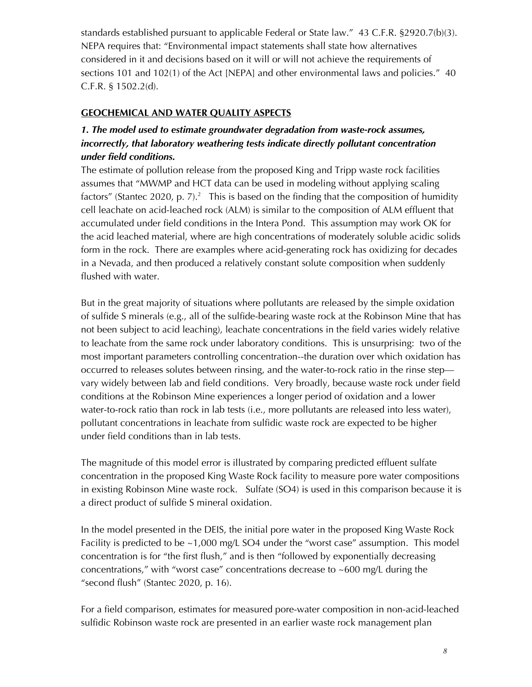standards established pursuant to applicable Federal or State law." 43 C.F.R. §2920.7(b)(3). NEPA requires that: "Environmental impact statements shall state how alternatives considered in it and decisions based on it will or will not achieve the requirements of sections 101 and 102(1) of the Act [NEPA] and other environmental laws and policies." 40 C.F.R. § 1502.2(d).

## **GEOCHEMICAL AND WATER QUALITY ASPECTS**

# *1. The model used to estimate groundwater degradation from waste-rock assumes, incorrectly, that laboratory weathering tests indicate directly pollutant concentration under field conditions.*

The estimate of pollution release from the proposed King and Tripp waste rock facilities assumes that "MWMP and HCT data can be used in modeling without applying scaling factors" (Stantec 2020, p. 7).<sup>2</sup> This is based on the finding that the composition of humidity cell leachate on acid-leached rock (ALM) is similar to the composition of ALM effluent that accumulated under field conditions in the Intera Pond. This assumption may work OK for the acid leached material, where are high concentrations of moderately soluble acidic solids form in the rock. There are examples where acid-generating rock has oxidizing for decades in a Nevada, and then produced a relatively constant solute composition when suddenly flushed with water.

But in the great majority of situations where pollutants are released by the simple oxidation of sulfide S minerals (e.g., all of the sulfide-bearing waste rock at the Robinson Mine that has not been subject to acid leaching), leachate concentrations in the field varies widely relative to leachate from the same rock under laboratory conditions. This is unsurprising: two of the most important parameters controlling concentration--the duration over which oxidation has occurred to releases solutes between rinsing, and the water-to-rock ratio in the rinse step vary widely between lab and field conditions. Very broadly, because waste rock under field conditions at the Robinson Mine experiences a longer period of oxidation and a lower water-to-rock ratio than rock in lab tests (i.e., more pollutants are released into less water), pollutant concentrations in leachate from sulfidic waste rock are expected to be higher under field conditions than in lab tests.

The magnitude of this model error is illustrated by comparing predicted effluent sulfate concentration in the proposed King Waste Rock facility to measure pore water compositions in existing Robinson Mine waste rock. Sulfate (SO4) is used in this comparison because it is a direct product of sulfide S mineral oxidation.

In the model presented in the DEIS, the initial pore water in the proposed King Waste Rock Facility is predicted to be ~1,000 mg/L SO4 under the "worst case" assumption. This model concentration is for "the first flush," and is then "followed by exponentially decreasing concentrations," with "worst case" concentrations decrease to ~600 mg/L during the "second flush" (Stantec 2020, p. 16).

For a field comparison, estimates for measured pore-water composition in non-acid-leached sulfidic Robinson waste rock are presented in an earlier waste rock management plan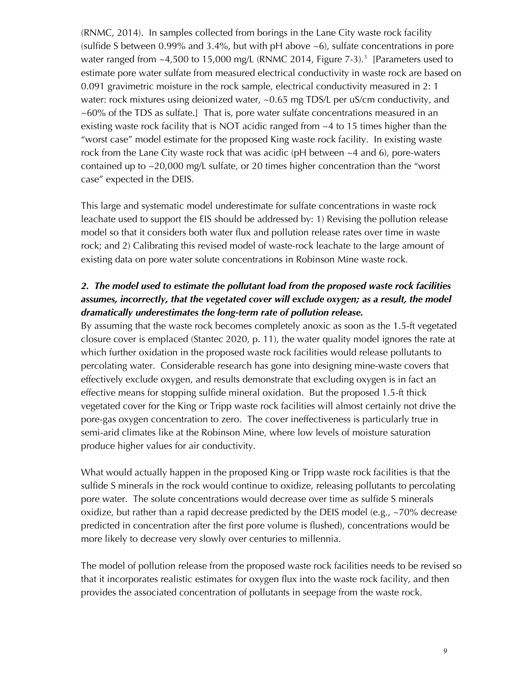(RNMC, 2014). In samples collected from borings in the Lane City waste rock facility (sulfide S between 0.99% and 3.4%, but with pH above ~6), sulfate concentrations in pore water ranged from  $\sim$ 4,500 to 15,000 mg/L (RNMC 2014, Figure 7-3).<sup>3</sup> [Parameters used to estimate pore water sulfate from measured electrical conductivity in waste rock are based on 0.091 gravimetric moisture in the rock sample, electrical conductivity measured in 2: 1 water: rock mixtures using deionized water, ~0.65 mg TDS/L per uS/cm conductivity, and ~60% of the TDS as sulfate.] That is, pore water sulfate concentrations measured in an existing waste rock facility that is NOT acidic ranged from ~4 to 15 times higher than the "worst case" model estimate for the proposed King waste rock facility. In existing waste rock from the Lane City waste rock that was acidic (pH between  $\sim$  4 and 6), pore-waters contained up to ~20,000 mg/L sulfate, or 20 times higher concentration than the "worst case" expected in the DEIS.

This large and systematic model underestimate for sulfate concentrations in waste rock leachate used to support the EIS should be addressed by: 1) Revising the pollution release model so that it considers both water flux and pollution release rates over time in waste rock; and 2) Calibrating this revised model of waste-rock leachate to the large amount of existing data on pore water solute concentrations in Robinson Mine waste rock.

# *2. The model used to estimate the pollutant load from the proposed waste rock facilities assumes, incorrectly, that the vegetated cover will exclude oxygen; as a result, the model dramatically underestimates the long-term rate of pollution release.*

By assuming that the waste rock becomes completely anoxic as soon as the 1.5-ft vegetated closure cover is emplaced (Stantec 2020, p. 11), the water quality model ignores the rate at which further oxidation in the proposed waste rock facilities would release pollutants to percolating water. Considerable research has gone into designing mine-waste covers that effectively exclude oxygen, and results demonstrate that excluding oxygen is in fact an effective means for stopping sulfide mineral oxidation. But the proposed 1.5-ft thick vegetated cover for the King or Tripp waste rock facilities will almost certainly not drive the pore-gas oxygen concentration to zero. The cover ineffectiveness is particularly true in semi-arid climates like at the Robinson Mine, where low levels of moisture saturation produce higher values for air conductivity.

What would actually happen in the proposed King or Tripp waste rock facilities is that the sulfide S minerals in the rock would continue to oxidize, releasing pollutants to percolating pore water. The solute concentrations would decrease over time as sulfide S minerals oxidize, but rather than a rapid decrease predicted by the DEIS model (e.g., ~70% decrease predicted in concentration after the first pore volume is flushed), concentrations would be more likely to decrease very slowly over centuries to millennia.

The model of pollution release from the proposed waste rock facilities needs to be revised so that it incorporates realistic estimates for oxygen flux into the waste rock facility, and then provides the associated concentration of pollutants in seepage from the waste rock.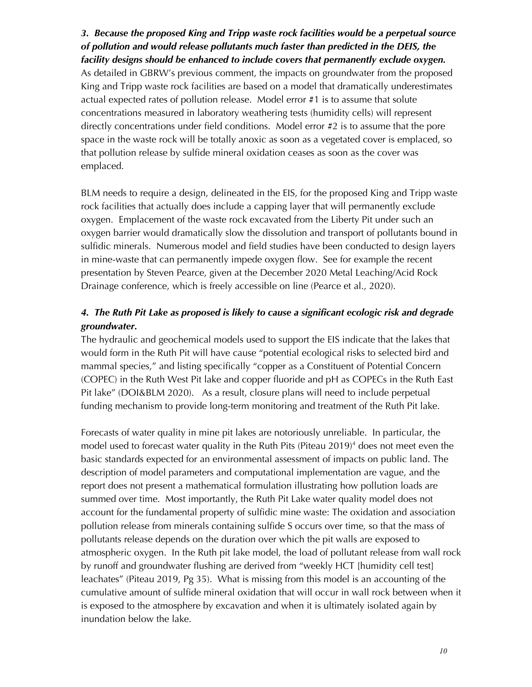*3. Because the proposed King and Tripp waste rock facilities would be a perpetual source of pollution and would release pollutants much faster than predicted in the DEIS, the facility designs should be enhanced to include covers that permanently exclude oxygen.*  As detailed in GBRW's previous comment, the impacts on groundwater from the proposed King and Tripp waste rock facilities are based on a model that dramatically underestimates actual expected rates of pollution release. Model error #1 is to assume that solute concentrations measured in laboratory weathering tests (humidity cells) will represent directly concentrations under field conditions. Model error #2 is to assume that the pore space in the waste rock will be totally anoxic as soon as a vegetated cover is emplaced, so that pollution release by sulfide mineral oxidation ceases as soon as the cover was

emplaced.

BLM needs to require a design, delineated in the EIS, for the proposed King and Tripp waste rock facilities that actually does include a capping layer that will permanently exclude oxygen. Emplacement of the waste rock excavated from the Liberty Pit under such an oxygen barrier would dramatically slow the dissolution and transport of pollutants bound in sulfidic minerals. Numerous model and field studies have been conducted to design layers in mine-waste that can permanently impede oxygen flow. See for example the recent presentation by Steven Pearce, given at the December 2020 Metal Leaching/Acid Rock Drainage conference, which is freely accessible on line (Pearce et al., 2020).

# *4. The Ruth Pit Lake as proposed is likely to cause a significant ecologic risk and degrade groundwater.*

The hydraulic and geochemical models used to support the EIS indicate that the lakes that would form in the Ruth Pit will have cause "potential ecological risks to selected bird and mammal species," and listing specifically "copper as a Constituent of Potential Concern (COPEC) in the Ruth West Pit lake and copper fluoride and pH as COPECs in the Ruth East Pit lake" (DOI&BLM 2020). As a result, closure plans will need to include perpetual funding mechanism to provide long-term monitoring and treatment of the Ruth Pit lake.

Forecasts of water quality in mine pit lakes are notoriously unreliable. In particular, the model used to forecast water quality in the Ruth Pits (Piteau 2019)<sup>4</sup> does not meet even the basic standards expected for an environmental assessment of impacts on public land. The description of model parameters and computational implementation are vague, and the report does not present a mathematical formulation illustrating how pollution loads are summed over time. Most importantly, the Ruth Pit Lake water quality model does not account for the fundamental property of sulfidic mine waste: The oxidation and association pollution release from minerals containing sulfide S occurs over time, so that the mass of pollutants release depends on the duration over which the pit walls are exposed to atmospheric oxygen. In the Ruth pit lake model, the load of pollutant release from wall rock by runoff and groundwater flushing are derived from "weekly HCT [humidity cell test] leachates" (Piteau 2019, Pg 35). What is missing from this model is an accounting of the cumulative amount of sulfide mineral oxidation that will occur in wall rock between when it is exposed to the atmosphere by excavation and when it is ultimately isolated again by inundation below the lake.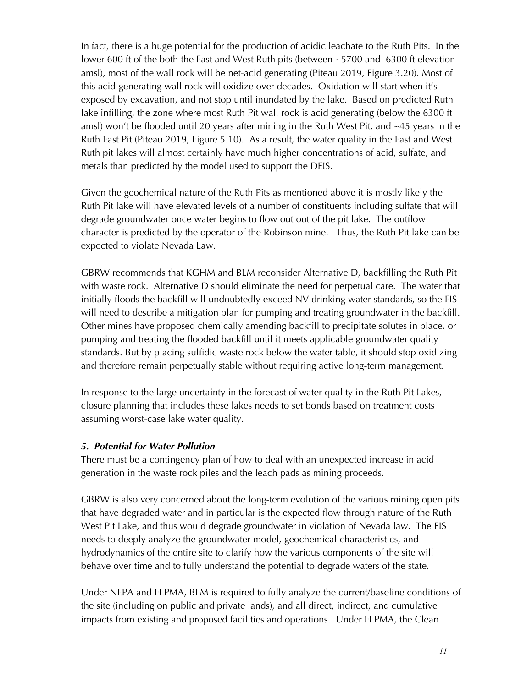In fact, there is a huge potential for the production of acidic leachate to the Ruth Pits. In the lower 600 ft of the both the East and West Ruth pits (between ~5700 and 6300 ft elevation amsl), most of the wall rock will be net-acid generating (Piteau 2019, Figure 3.20). Most of this acid-generating wall rock will oxidize over decades. Oxidation will start when it's exposed by excavation, and not stop until inundated by the lake. Based on predicted Ruth lake infilling, the zone where most Ruth Pit wall rock is acid generating (below the 6300 ft amsl) won't be flooded until 20 years after mining in the Ruth West Pit, and  $\sim$ 45 years in the Ruth East Pit (Piteau 2019, Figure 5.10). As a result, the water quality in the East and West Ruth pit lakes will almost certainly have much higher concentrations of acid, sulfate, and metals than predicted by the model used to support the DEIS.

Given the geochemical nature of the Ruth Pits as mentioned above it is mostly likely the Ruth Pit lake will have elevated levels of a number of constituents including sulfate that will degrade groundwater once water begins to flow out out of the pit lake. The outflow character is predicted by the operator of the Robinson mine. Thus, the Ruth Pit lake can be expected to violate Nevada Law.

GBRW recommends that KGHM and BLM reconsider Alternative D, backfilling the Ruth Pit with waste rock. Alternative D should eliminate the need for perpetual care. The water that initially floods the backfill will undoubtedly exceed NV drinking water standards, so the EIS will need to describe a mitigation plan for pumping and treating groundwater in the backfill. Other mines have proposed chemically amending backfill to precipitate solutes in place, or pumping and treating the flooded backfill until it meets applicable groundwater quality standards. But by placing sulfidic waste rock below the water table, it should stop oxidizing and therefore remain perpetually stable without requiring active long-term management.

In response to the large uncertainty in the forecast of water quality in the Ruth Pit Lakes, closure planning that includes these lakes needs to set bonds based on treatment costs assuming worst-case lake water quality.

#### *5. Potential for Water Pollution*

There must be a contingency plan of how to deal with an unexpected increase in acid generation in the waste rock piles and the leach pads as mining proceeds.

GBRW is also very concerned about the long-term evolution of the various mining open pits that have degraded water and in particular is the expected flow through nature of the Ruth West Pit Lake, and thus would degrade groundwater in violation of Nevada law. The EIS needs to deeply analyze the groundwater model, geochemical characteristics, and hydrodynamics of the entire site to clarify how the various components of the site will behave over time and to fully understand the potential to degrade waters of the state.

Under NEPA and FLPMA, BLM is required to fully analyze the current/baseline conditions of the site (including on public and private lands), and all direct, indirect, and cumulative impacts from existing and proposed facilities and operations. Under FLPMA, the Clean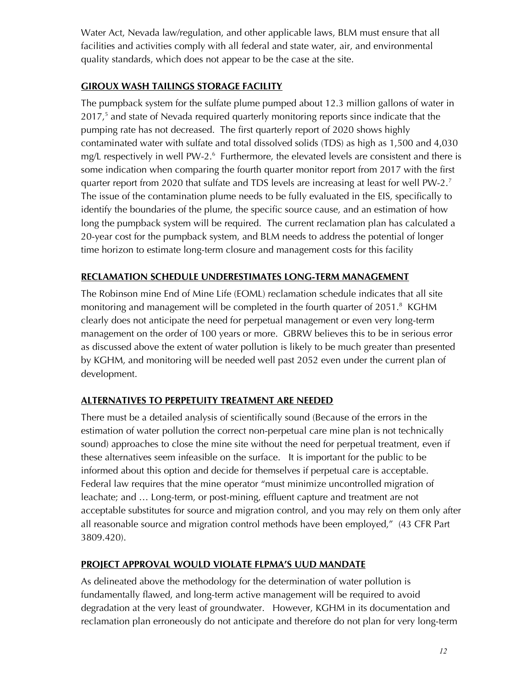Water Act, Nevada law/regulation, and other applicable laws, BLM must ensure that all facilities and activities comply with all federal and state water, air, and environmental quality standards, which does not appear to be the case at the site.

# **GIROUX WASH TAILINGS STORAGE FACILITY**

The pumpback system for the sulfate plume pumped about 12.3 million gallons of water in 2017,<sup>5</sup> and state of Nevada required quarterly monitoring reports since indicate that the pumping rate has not decreased. The first quarterly report of 2020 shows highly contaminated water with sulfate and total dissolved solids (TDS) as high as 1,500 and 4,030 mg/L respectively in well PW-2.<sup>6</sup> Furthermore, the elevated levels are consistent and there is some indication when comparing the fourth quarter monitor report from 2017 with the first quarter report from 2020 that sulfate and TDS levels are increasing at least for well PW-2.<sup>7</sup> The issue of the contamination plume needs to be fully evaluated in the EIS, specifically to identify the boundaries of the plume, the specific source cause, and an estimation of how long the pumpback system will be required. The current reclamation plan has calculated a 20-year cost for the pumpback system, and BLM needs to address the potential of longer time horizon to estimate long-term closure and management costs for this facility

## **RECLAMATION SCHEDULE UNDERESTIMATES LONG-TERM MANAGEMENT**

The Robinson mine End of Mine Life (EOML) reclamation schedule indicates that all site monitoring and management will be completed in the fourth quarter of 2051.<sup>8</sup> KGHM clearly does not anticipate the need for perpetual management or even very long-term management on the order of 100 years or more. GBRW believes this to be in serious error as discussed above the extent of water pollution is likely to be much greater than presented by KGHM, and monitoring will be needed well past 2052 even under the current plan of development.

# **ALTERNATIVES TO PERPETUITY TREATMENT ARE NEEDED**

There must be a detailed analysis of scientifically sound (Because of the errors in the estimation of water pollution the correct non-perpetual care mine plan is not technically sound) approaches to close the mine site without the need for perpetual treatment, even if these alternatives seem infeasible on the surface. It is important for the public to be informed about this option and decide for themselves if perpetual care is acceptable. Federal law requires that the mine operator "must minimize uncontrolled migration of leachate; and … Long-term, or post-mining, effluent capture and treatment are not acceptable substitutes for source and migration control, and you may rely on them only after all reasonable source and migration control methods have been employed," (43 CFR Part 3809.420).

#### **PROJECT APPROVAL WOULD VIOLATE FLPMA'S UUD MANDATE**

As delineated above the methodology for the determination of water pollution is fundamentally flawed, and long-term active management will be required to avoid degradation at the very least of groundwater. However, KGHM in its documentation and reclamation plan erroneously do not anticipate and therefore do not plan for very long-term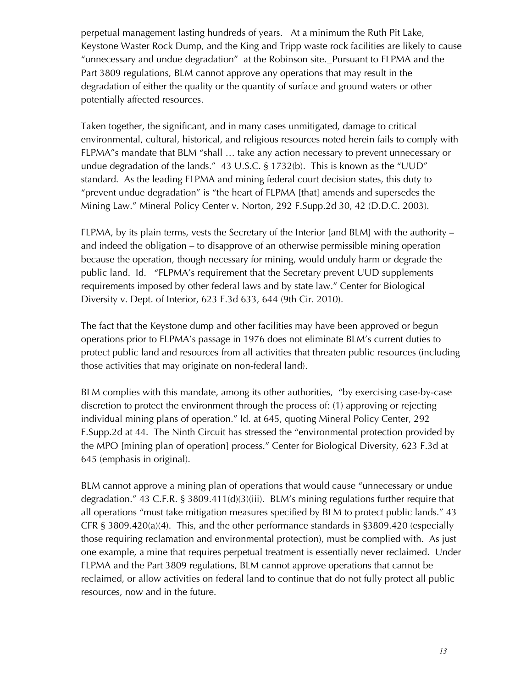perpetual management lasting hundreds of years. At a minimum the Ruth Pit Lake, Keystone Waster Rock Dump, and the King and Tripp waste rock facilities are likely to cause "unnecessary and undue degradation" at the Robinson site. Pursuant to FLPMA and the Part 3809 regulations, BLM cannot approve any operations that may result in the degradation of either the quality or the quantity of surface and ground waters or other potentially affected resources.

Taken together, the significant, and in many cases unmitigated, damage to critical environmental, cultural, historical, and religious resources noted herein fails to comply with FLPMA"s mandate that BLM "shall … take any action necessary to prevent unnecessary or undue degradation of the lands." 43 U.S.C. § 1732(b). This is known as the "UUD" standard. As the leading FLPMA and mining federal court decision states, this duty to "prevent undue degradation" is "the heart of FLPMA [that] amends and supersedes the Mining Law." Mineral Policy Center v. Norton, 292 F.Supp.2d 30, 42 (D.D.C. 2003).

FLPMA, by its plain terms, vests the Secretary of the Interior [and BLM] with the authority – and indeed the obligation – to disapprove of an otherwise permissible mining operation because the operation, though necessary for mining, would unduly harm or degrade the public land. Id. "FLPMA's requirement that the Secretary prevent UUD supplements requirements imposed by other federal laws and by state law." Center for Biological Diversity v. Dept. of Interior, 623 F.3d 633, 644 (9th Cir. 2010).

The fact that the Keystone dump and other facilities may have been approved or begun operations prior to FLPMA's passage in 1976 does not eliminate BLM's current duties to protect public land and resources from all activities that threaten public resources (including those activities that may originate on non-federal land).

BLM complies with this mandate, among its other authorities, "by exercising case-by-case discretion to protect the environment through the process of: (1) approving or rejecting individual mining plans of operation." Id. at 645, quoting Mineral Policy Center, 292 F.Supp.2d at 44. The Ninth Circuit has stressed the "environmental protection provided by the MPO [mining plan of operation] process." Center for Biological Diversity, 623 F.3d at 645 (emphasis in original).

BLM cannot approve a mining plan of operations that would cause "unnecessary or undue degradation." 43 C.F.R. § 3809.411(d)(3)(iii). BLM's mining regulations further require that all operations "must take mitigation measures specified by BLM to protect public lands." 43 CFR § 3809.420(a)(4). This, and the other performance standards in §3809.420 (especially those requiring reclamation and environmental protection), must be complied with. As just one example, a mine that requires perpetual treatment is essentially never reclaimed. Under FLPMA and the Part 3809 regulations, BLM cannot approve operations that cannot be reclaimed, or allow activities on federal land to continue that do not fully protect all public resources, now and in the future.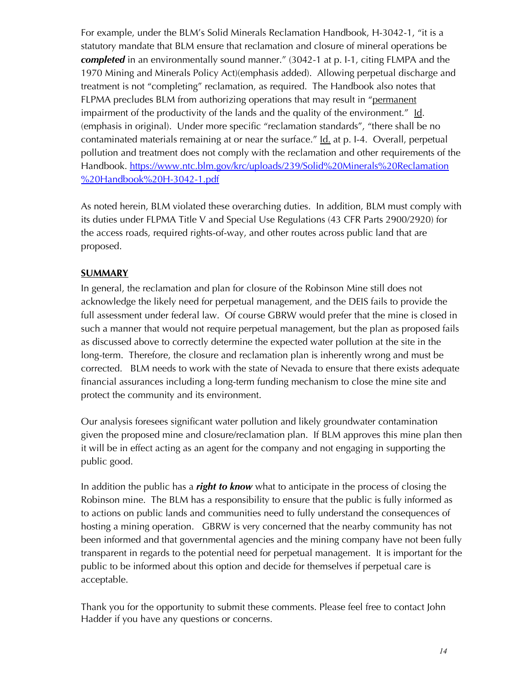For example, under the BLM's Solid Minerals Reclamation Handbook, H-3042-1, "it is a statutory mandate that BLM ensure that reclamation and closure of mineral operations be *completed* in an environmentally sound manner." (3042-1 at p. I-1, citing FLMPA and the 1970 Mining and Minerals Policy Act)(emphasis added). Allowing perpetual discharge and treatment is not "completing" reclamation, as required. The Handbook also notes that FLPMA precludes BLM from authorizing operations that may result in "permanent impairment of the productivity of the lands and the quality of the environment." Id. (emphasis in original). Under more specific "reclamation standards", "there shall be no contaminated materials remaining at or near the surface." Id. at p. I-4. Overall, perpetual pollution and treatment does not comply with the reclamation and other requirements of the Handbook. https://www.ntc.blm.gov/krc/uploads/239/Solid%20Minerals%20Reclamation %20Handbook%20H-3042-1.pdf

As noted herein, BLM violated these overarching duties. In addition, BLM must comply with its duties under FLPMA Title V and Special Use Regulations (43 CFR Parts 2900/2920) for the access roads, required rights-of-way, and other routes across public land that are proposed.

#### **SUMMARY**

In general, the reclamation and plan for closure of the Robinson Mine still does not acknowledge the likely need for perpetual management, and the DEIS fails to provide the full assessment under federal law. Of course GBRW would prefer that the mine is closed in such a manner that would not require perpetual management, but the plan as proposed fails as discussed above to correctly determine the expected water pollution at the site in the long-term. Therefore, the closure and reclamation plan is inherently wrong and must be corrected. BLM needs to work with the state of Nevada to ensure that there exists adequate financial assurances including a long-term funding mechanism to close the mine site and protect the community and its environment.

Our analysis foresees significant water pollution and likely groundwater contamination given the proposed mine and closure/reclamation plan. If BLM approves this mine plan then it will be in effect acting as an agent for the company and not engaging in supporting the public good.

In addition the public has a *right to know* what to anticipate in the process of closing the Robinson mine. The BLM has a responsibility to ensure that the public is fully informed as to actions on public lands and communities need to fully understand the consequences of hosting a mining operation. GBRW is very concerned that the nearby community has not been informed and that governmental agencies and the mining company have not been fully transparent in regards to the potential need for perpetual management. It is important for the public to be informed about this option and decide for themselves if perpetual care is acceptable.

Thank you for the opportunity to submit these comments. Please feel free to contact John Hadder if you have any questions or concerns.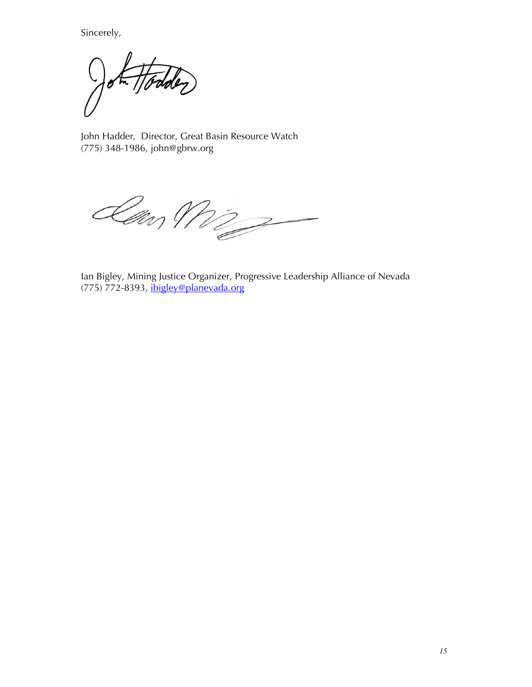Sincerely,

der

John Hadder, Director, Great Basin Resource Watch (775) 348-1986, john@gbrw.org

Law Mi

Ian Bigley, Mining Justice Organizer, Progressive Leadership Alliance of Nevada  $(775)$   $772-8393$ , ibigley@planevada.org